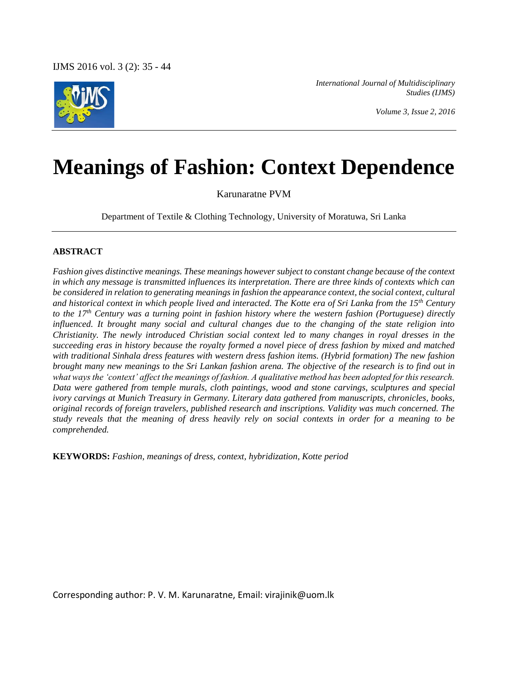

*International Journal of Multidisciplinary Studies (IJMS)*

*Volume 3, Issue 2, 2016*

# **Meanings of Fashion: Context Dependence**

Karunaratne PVM

Department of Textile & Clothing Technology, University of Moratuwa, Sri Lanka

#### **ABSTRACT**

*Fashion gives distinctive meanings. These meanings however subject to constant change because of the context in which any message is transmitted influences its interpretation. There are three kinds of contexts which can be considered in relation to generating meanings in fashion the appearance context, the social context, cultural and historical context in which people lived and interacted. The Kotte era of Sri Lanka from the 15th Century to the 17th Century was a turning point in fashion history where the western fashion (Portuguese) directly influenced. It brought many social and cultural changes due to the changing of the state religion into Christianity. The newly introduced Christian social context led to many changes in royal dresses in the succeeding eras in history because the royalty formed a novel piece of dress fashion by mixed and matched with traditional Sinhala dress features with western dress fashion items. (Hybrid formation) The new fashion brought many new meanings to the Sri Lankan fashion arena. The objective of the research is to find out in what ways the 'context' affect the meanings of fashion. A qualitative method has been adopted for this research. Data were gathered from temple murals, cloth paintings, wood and stone carvings, sculptures and special ivory carvings at Munich Treasury in Germany. Literary data gathered from manuscripts, chronicles, books, original records of foreign travelers, published research and inscriptions. Validity was much concerned. The study reveals that the meaning of dress heavily rely on social contexts in order for a meaning to be comprehended.*

**KEYWORDS:** *Fashion, meanings of dress, context, hybridization, Kotte period*

Corresponding author: P. V. M. Karunaratne, Email: virajinik@uom.lk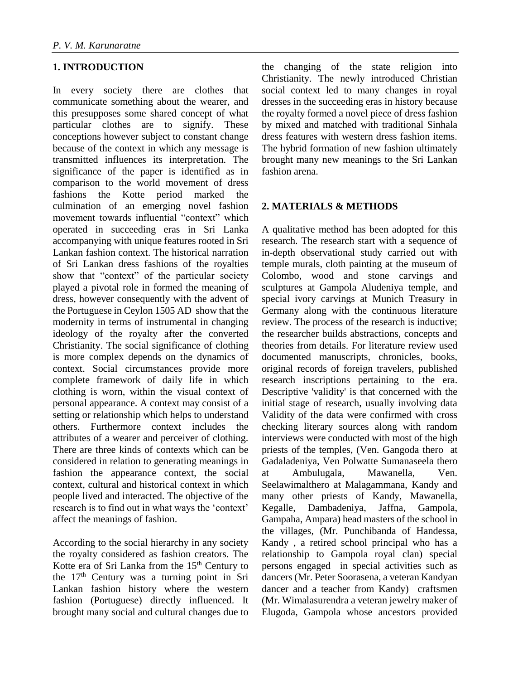# **1. INTRODUCTION**

In every society there are clothes that communicate something about the wearer, and this presupposes some shared concept of what particular clothes are to signify. These conceptions however subject to constant change because of the context in which any message is transmitted influences its interpretation. The significance of the paper is identified as in comparison to the world movement of dress fashions the Kotte period marked the culmination of an emerging novel fashion movement towards influential "context" which operated in succeeding eras in Sri Lanka accompanying with unique features rooted in Sri Lankan fashion context. The historical narration of Sri Lankan dress fashions of the royalties show that "context" of the particular society played a pivotal role in formed the meaning of dress, however consequently with the advent of the Portuguese in Ceylon 1505 AD show that the modernity in terms of instrumental in changing ideology of the royalty after the converted Christianity. The social significance of clothing is more complex depends on the dynamics of context. Social circumstances provide more complete framework of daily life in which clothing is worn, within the visual context of personal appearance. A context may consist of a setting or relationship which helps to understand others. Furthermore context includes the attributes of a wearer and perceiver of clothing. There are three kinds of contexts which can be considered in relation to generating meanings in fashion the appearance context, the social context, cultural and historical context in which people lived and interacted. The objective of the research is to find out in what ways the 'context' affect the meanings of fashion.

According to the social hierarchy in any society the royalty considered as fashion creators. The Kotte era of Sri Lanka from the 15<sup>th</sup> Century to the 17<sup>th</sup> Century was a turning point in Sri Lankan fashion history where the western fashion (Portuguese) directly influenced. It brought many social and cultural changes due to the changing of the state religion into Christianity. The newly introduced Christian social context led to many changes in royal dresses in the succeeding eras in history because the royalty formed a novel piece of dress fashion by mixed and matched with traditional Sinhala dress features with western dress fashion items. The hybrid formation of new fashion ultimately brought many new meanings to the Sri Lankan fashion arena.

# **2. MATERIALS & METHODS**

A qualitative method has been adopted for this research. The research start with a sequence of in-depth observational study carried out with temple murals, cloth painting at the museum of Colombo, wood and stone carvings and sculptures at Gampola Aludeniya temple, and special ivory carvings at Munich Treasury in Germany along with the continuous literature review. The process of the research is inductive; the researcher builds abstractions, concepts and theories from details. For literature review used documented manuscripts, chronicles, books, original records of foreign travelers, published research inscriptions pertaining to the era. Descriptive 'validity' is that concerned with the initial stage of research, usually involving data Validity of the data were confirmed with cross checking literary sources along with random interviews were conducted with most of the high priests of the temples, (Ven. Gangoda thero at Gadaladeniya, Ven Polwatte Sumanaseela thero at Ambulugala, Mawanella, Ven. Seelawimalthero at Malagammana, Kandy and many other priests of Kandy, Mawanella, Kegalle, Dambadeniya, Jaffna, Gampola, Gampaha, Ampara) head masters of the school in the villages, (Mr. Punchibanda of Handessa, Kandy , a retired school principal who has a relationship to Gampola royal clan) special persons engaged in special activities such as dancers (Mr. Peter Soorasena, a veteran Kandyan dancer and a teacher from Kandy) craftsmen (Mr. Wimalasurendra a veteran jewelry maker of Elugoda, Gampola whose ancestors provided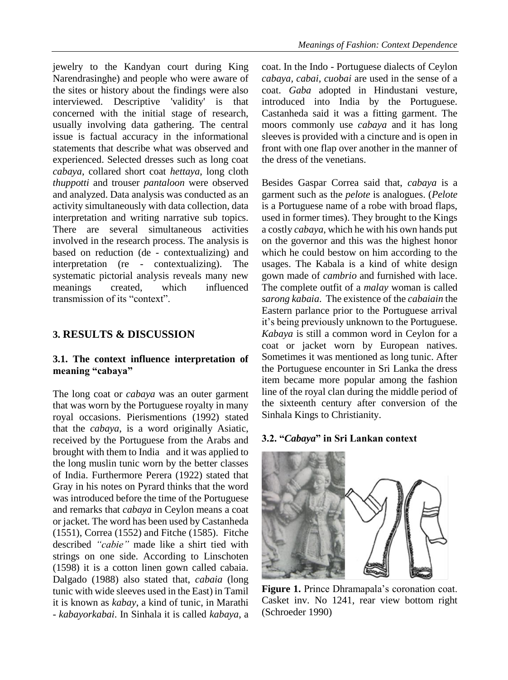jewelry to the Kandyan court during King Narendrasinghe) and people who were aware of the sites or history about the findings were also interviewed. Descriptive 'validity' is that concerned with the initial stage of research, usually involving data gathering. The central issue is factual accuracy in the informational statements that describe what was observed and experienced. Selected dresses such as long coat *cabaya*, collared short coat *hettaya*, long cloth *thuppotti* and trouser *pantaloon* were observed and analyzed. Data analysis was conducted as an activity simultaneously with data collection, data interpretation and writing narrative sub topics. There are several simultaneous activities involved in the research process. The analysis is based on reduction (de - contextualizing) and interpretation (re - contextualizing). The systematic pictorial analysis reveals many new meanings created, which influenced transmission of its "context".

# **3. RESULTS & DISCUSSION**

## **3.1. The context influence interpretation of meaning "cabaya"**

The long coat or *cabaya* was an outer garment that was worn by the Portuguese royalty in many royal occasions. Pierismentions (1992) stated that the *cabaya*, is a word originally Asiatic, received by the Portuguese from the Arabs and brought with them to India and it was applied to the long muslin tunic worn by the better classes of India. Furthermore Perera (1922) stated that Gray in his notes on Pyrard thinks that the word was introduced before the time of the Portuguese and remarks that *cabaya* in Ceylon means a coat or jacket. The word has been used by Castanheda (1551), Correa (1552) and Fitche (1585). Fitche described *"cabie"* made like a shirt tied with strings on one side. According to Linschoten (1598) it is a cotton linen gown called cabaia. Dalgado (1988) also stated that, *cabaia* (long tunic with wide sleeves used in the East) in Tamil it is known as *kabay*, a kind of tunic, in Marathi - *kabayorkabai*. In Sinhala it is called *kabaya*, a coat. In the Indo - Portuguese dialects of Ceylon *cabaya, cabai, cuobai* are used in the sense of a coat. *Gaba* adopted in Hindustani vesture, introduced into India by the Portuguese. Castanheda said it was a fitting garment. The moors commonly use *cabaya* and it has long sleeves is provided with a cincture and is open in front with one flap over another in the manner of the dress of the venetians.

Besides Gaspar Correa said that, *cabaya* is a garment such as the *pelote* is analogues. (*Pelote* is a Portuguese name of a robe with broad flaps, used in former times). They brought to the Kings a costly *cabaya*, which he with his own hands put on the governor and this was the highest honor which he could bestow on him according to the usages. The Kabala is a kind of white design gown made of *cambrio* and furnished with lace. The complete outfit of a *malay* woman is called *sarong kabaia*. The existence of the *cabaiain* the Eastern parlance prior to the Portuguese arrival it's being previously unknown to the Portuguese. *Kabaya* is still a common word in Ceylon for a coat or jacket worn by European natives. Sometimes it was mentioned as long tunic. After the Portuguese encounter in Sri Lanka the dress item became more popular among the fashion line of the royal clan during the middle period of the sixteenth century after conversion of the Sinhala Kings to Christianity.

#### **3.2. "***Cabaya***" in Sri Lankan context**



**Figure 1.** Prince Dhramapala's coronation coat. Casket inv. No 1241, rear view bottom right (Schroeder 1990)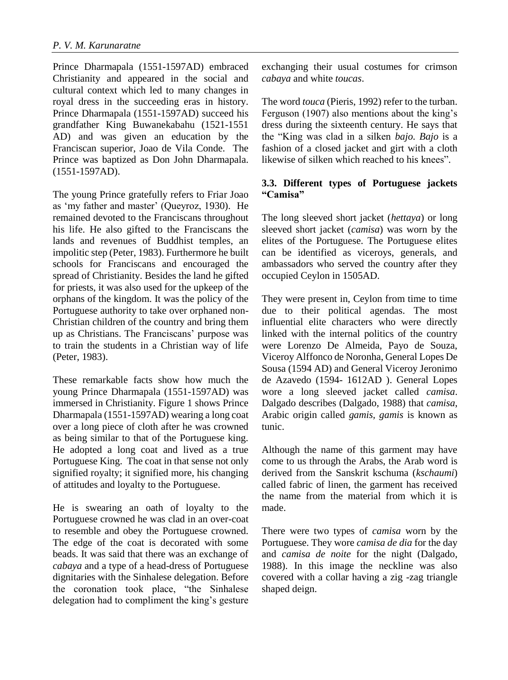Prince Dharmapala (1551-1597AD) embraced Christianity and appeared in the social and cultural context which led to many changes in royal dress in the succeeding eras in history. Prince Dharmapala (1551-1597AD) succeed his grandfather King Buwanekabahu (1521-1551 AD) and was given an education by the Franciscan superior, Joao de Vila Conde. The Prince was baptized as Don John Dharmapala. (1551-1597AD).

The young Prince gratefully refers to Friar Joao as 'my father and master' (Queyroz, 1930). He remained devoted to the Franciscans throughout his life. He also gifted to the Franciscans the lands and revenues of Buddhist temples, an impolitic step (Peter, 1983). Furthermore he built schools for Franciscans and encouraged the spread of Christianity. Besides the land he gifted for priests, it was also used for the upkeep of the orphans of the kingdom. It was the policy of the Portuguese authority to take over orphaned non-Christian children of the country and bring them up as Christians. The Franciscans' purpose was to train the students in a Christian way of life (Peter, 1983).

These remarkable facts show how much the young Prince Dharmapala (1551-1597AD) was immersed in Christianity. Figure 1 shows Prince Dharmapala (1551-1597AD) wearing a long coat over a long piece of cloth after he was crowned as being similar to that of the Portuguese king. He adopted a long coat and lived as a true Portuguese King. The coat in that sense not only signified royalty; it signified more, his changing of attitudes and loyalty to the Portuguese.

He is swearing an oath of loyalty to the Portuguese crowned he was clad in an over-coat to resemble and obey the Portuguese crowned. The edge of the coat is decorated with some beads. It was said that there was an exchange of *cabaya* and a type of a head-dress of Portuguese dignitaries with the Sinhalese delegation. Before the coronation took place, "the Sinhalese delegation had to compliment the king's gesture exchanging their usual costumes for crimson *cabaya* and white *toucas*.

The word *touca* (Pieris, 1992) refer to the turban. Ferguson (1907) also mentions about the king's dress during the sixteenth century. He says that the "King was clad in a silken *bajo. Bajo* is a fashion of a closed jacket and girt with a cloth likewise of silken which reached to his knees".

# **3.3. Different types of Portuguese jackets "Camisa"**

The long sleeved short jacket (*hettaya*) or long sleeved short jacket (*camisa*) was worn by the elites of the Portuguese. The Portuguese elites can be identified as viceroys, generals, and ambassadors who served the country after they occupied Ceylon in 1505AD.

They were present in, Ceylon from time to time due to their political agendas. The most influential elite characters who were directly linked with the internal politics of the country were Lorenzo De Almeida, Payo de Souza, Viceroy Alffonco de Noronha, General Lopes De Sousa (1594 AD) and General Viceroy Jeronimo de Azavedo (1594- 1612AD ). General Lopes wore a long sleeved jacket called *camisa*. Dalgado describes (Dalgado, 1988) that *camisa*, Arabic origin called *gamis, gamis* is known as tunic.

Although the name of this garment may have come to us through the Arabs, the Arab word is derived from the Sanskrit kschuma (*kschaumi*) called fabric of linen, the garment has received the name from the material from which it is made.

There were two types of *camisa* worn by the Portuguese. They wore *camisa de dia* for the day and *camisa de noite* for the night (Dalgado, 1988). In this image the neckline was also covered with a collar having a zig -zag triangle shaped deign.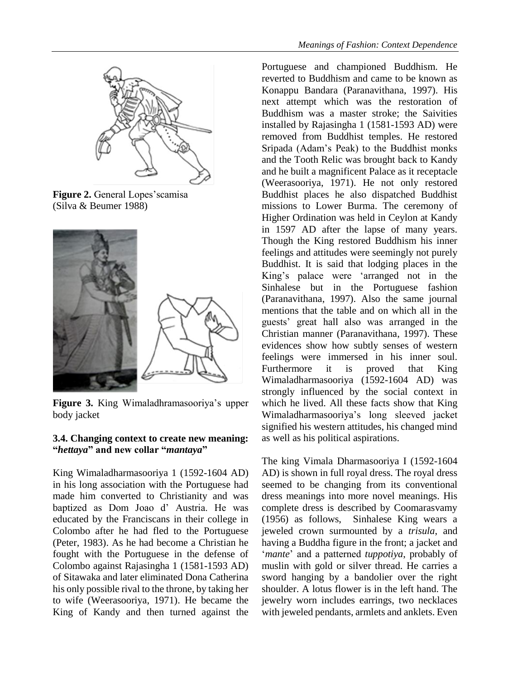

**Figure 2.** General Lopes'scamisa (Silva & Beumer 1988)



**Figure 3.** King Wimaladhramasooriya's upper body jacket

#### **3.4. Changing context to create new meaning: "***hettaya***" and new collar "***mantaya***"**

King Wimaladharmasooriya 1 (1592-1604 AD) in his long association with the Portuguese had made him converted to Christianity and was baptized as Dom Joao d' Austria. He was educated by the Franciscans in their college in Colombo after he had fled to the Portuguese (Peter, 1983). As he had become a Christian he fought with the Portuguese in the defense of Colombo against Rajasingha 1 (1581-1593 AD) of Sitawaka and later eliminated Dona Catherina his only possible rival to the throne, by taking her to wife (Weerasooriya, 1971). He became the King of Kandy and then turned against the Portuguese and championed Buddhism. He reverted to Buddhism and came to be known as Konappu Bandara (Paranavithana, 1997). His next attempt which was the restoration of Buddhism was a master stroke; the Saivities installed by Rajasingha 1 (1581-1593 AD) were removed from Buddhist temples. He restored Sripada (Adam's Peak) to the Buddhist monks and the Tooth Relic was brought back to Kandy and he built a magnificent Palace as it receptacle (Weerasooriya, 1971). He not only restored Buddhist places he also dispatched Buddhist missions to Lower Burma. The ceremony of Higher Ordination was held in Ceylon at Kandy in 1597 AD after the lapse of many years. Though the King restored Buddhism his inner feelings and attitudes were seemingly not purely Buddhist. It is said that lodging places in the King's palace were 'arranged not in the Sinhalese but in the Portuguese fashion (Paranavithana, 1997). Also the same journal mentions that the table and on which all in the guests' great hall also was arranged in the Christian manner (Paranavithana, 1997). These evidences show how subtly senses of western feelings were immersed in his inner soul. Furthermore it is proved that King Wimaladharmasooriya (1592-1604 AD) was strongly influenced by the social context in which he lived. All these facts show that King Wimaladharmasooriya's long sleeved jacket signified his western attitudes, his changed mind as well as his political aspirations.

The king Vimala Dharmasooriya I (1592-1604 AD) is shown in full royal dress. The royal dress seemed to be changing from its conventional dress meanings into more novel meanings. His complete dress is described by Coomarasvamy (1956) as follows, Sinhalese King wears a jeweled crown surmounted by a *trisula*, and having a Buddha figure in the front; a jacket and '*mante*' and a patterned *tuppotiya*, probably of muslin with gold or silver thread. He carries a sword hanging by a bandolier over the right shoulder. A lotus flower is in the left hand. The jewelry worn includes earrings, two necklaces with jeweled pendants, armlets and anklets. Even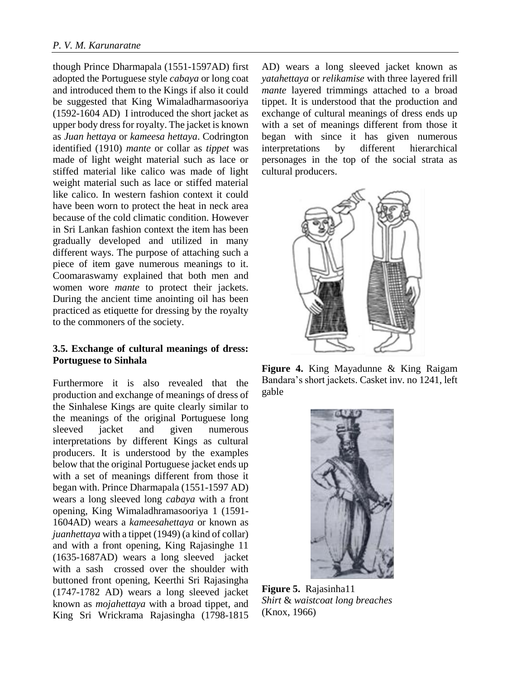though Prince Dharmapala (1551-1597AD) first adopted the Portuguese style *cabaya* or long coat and introduced them to the Kings if also it could be suggested that King Wimaladharmasooriya (1592-1604 AD) I introduced the short jacket as upper body dress for royalty. The jacket is known as *Juan hettaya* or *kameesa hettaya*. Codrington identified (1910) *mante* or collar as *tippet* was made of light weight material such as lace or stiffed material like calico was made of light weight material such as lace or stiffed material like calico. In western fashion context it could have been worn to protect the heat in neck area because of the cold climatic condition. However in Sri Lankan fashion context the item has been gradually developed and utilized in many different ways. The purpose of attaching such a piece of item gave numerous meanings to it. Coomaraswamy explained that both men and women wore *mante* to protect their jackets. During the ancient time anointing oil has been practiced as etiquette for dressing by the royalty to the commoners of the society.

## **3.5. Exchange of cultural meanings of dress: Portuguese to Sinhala**

Furthermore it is also revealed that the production and exchange of meanings of dress of the Sinhalese Kings are quite clearly similar to the meanings of the original Portuguese long sleeved jacket and given numerous interpretations by different Kings as cultural producers. It is understood by the examples below that the original Portuguese jacket ends up with a set of meanings different from those it began with. Prince Dharmapala (1551-1597 AD) wears a long sleeved long *cabaya* with a front opening, King Wimaladhramasooriya 1 (1591- 1604AD) wears a *kameesahettaya* or known as *juanhettaya* with a tippet (1949) (a kind of collar) and with a front opening, King Rajasinghe 11 (1635-1687AD) wears a long sleeved jacket with a sash crossed over the shoulder with buttoned front opening, Keerthi Sri Rajasingha (1747-1782 AD) wears a long sleeved jacket known as *mojahettaya* with a broad tippet, and King Sri Wrickrama Rajasingha (1798-1815

AD) wears a long sleeved jacket known as *yatahettaya* or *relikamise* with three layered frill *mante* layered trimmings attached to a broad tippet. It is understood that the production and exchange of cultural meanings of dress ends up with a set of meanings different from those it began with since it has given numerous interpretations by different hierarchical personages in the top of the social strata as cultural producers.



**Figure 4.** King Mayadunne & King Raigam Bandara's short jackets. Casket inv. no 1241, left gable



**Figure 5.** Rajasinha11 *Shirt* & *waistcoat long breaches* (Knox, 1966)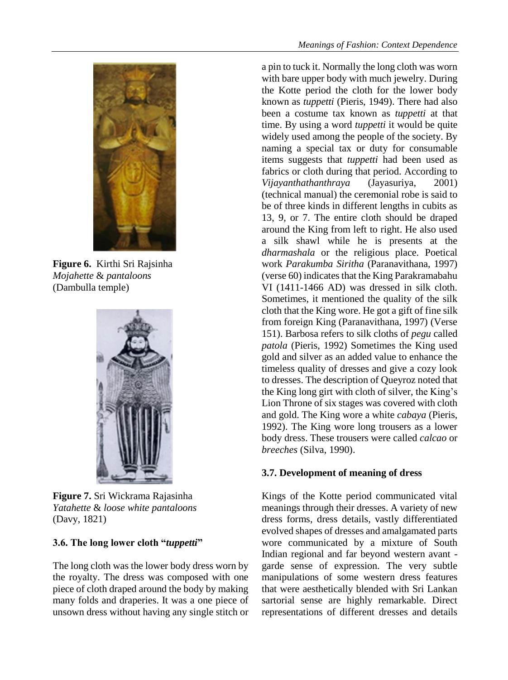

**Figure 6.** Kirthi Sri Rajsinha *Mojahette* & *pantaloons* (Dambulla temple)



**Figure 7.** Sri Wickrama Rajasinha *Yatahette* & *loose white pantaloons* (Davy, 1821)

## **3.6. The long lower cloth "***tuppetti***"**

The long cloth was the lower body dress worn by the royalty. The dress was composed with one piece of cloth draped around the body by making many folds and draperies. It was a one piece of unsown dress without having any single stitch or a pin to tuck it. Normally the long cloth was worn with bare upper body with much jewelry. During the Kotte period the cloth for the lower body known as *tuppetti* (Pieris, 1949). There had also been a costume tax known as *tuppetti* at that time. By using a word *tuppetti* it would be quite widely used among the people of the society. By naming a special tax or duty for consumable items suggests that *tuppetti* had been used as fabrics or cloth during that period. According to *Vijayanthathanthraya* (Jayasuriya, 2001) (technical manual) the ceremonial robe is said to be of three kinds in different lengths in cubits as 13, 9, or 7. The entire cloth should be draped around the King from left to right. He also used a silk shawl while he is presents at the *dharmashala* or the religious place. Poetical work *Parakumba Siritha* (Paranavithana, 1997) (verse 60) indicates that the King Parakramabahu VI (1411-1466 AD) was dressed in silk cloth. Sometimes, it mentioned the quality of the silk cloth that the King wore. He got a gift of fine silk from foreign King (Paranavithana, 1997) (Verse 151). Barbosa refers to silk cloths of *pegu* called *patola* (Pieris, 1992) Sometimes the King used gold and silver as an added value to enhance the timeless quality of dresses and give a cozy look to dresses. The description of Queyroz noted that the King long girt with cloth of silver, the King's Lion Throne of six stages was covered with cloth and gold. The King wore a white *cabaya* (Pieris, 1992). The King wore long trousers as a lower body dress. These trousers were called *calcao* or *breeches* (Silva, 1990).

# **3.7. Development of meaning of dress**

Kings of the Kotte period communicated vital meanings through their dresses. A variety of new dress forms, dress details, vastly differentiated evolved shapes of dresses and amalgamated parts wore communicated by a mixture of South Indian regional and far beyond western avant garde sense of expression. The very subtle manipulations of some western dress features that were aesthetically blended with Sri Lankan sartorial sense are highly remarkable. Direct representations of different dresses and details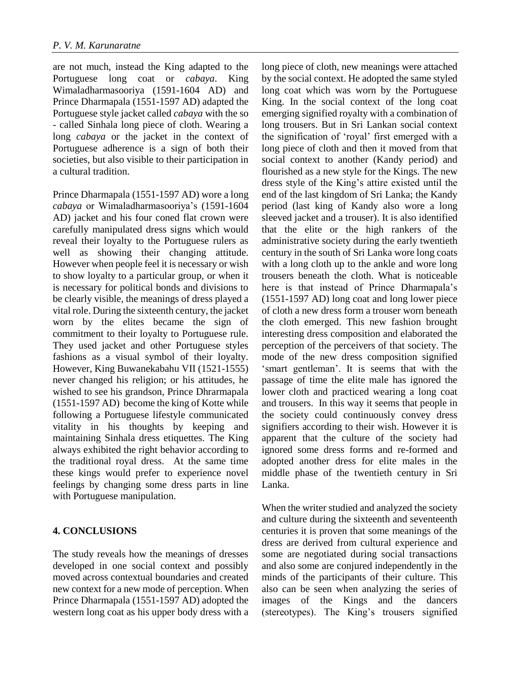are not much, instead the King adapted to the Portuguese long coat or *cabaya*. King Wimaladharmasooriya (1591-1604 AD) and Prince Dharmapala (1551-1597 AD) adapted the Portuguese style jacket called *cabaya* with the so - called Sinhala long piece of cloth. Wearing a long *cabaya* or the jacket in the context of Portuguese adherence is a sign of both their societies, but also visible to their participation in a cultural tradition.

Prince Dharmapala (1551-1597 AD) wore a long *cabaya* or Wimaladharmasooriya's (1591-1604 AD) jacket and his four coned flat crown were carefully manipulated dress signs which would reveal their loyalty to the Portuguese rulers as well as showing their changing attitude. However when people feel it is necessary or wish to show loyalty to a particular group, or when it is necessary for political bonds and divisions to be clearly visible, the meanings of dress played a vital role. During the sixteenth century, the jacket worn by the elites became the sign of commitment to their loyalty to Portuguese rule. They used jacket and other Portuguese styles fashions as a visual symbol of their loyalty. However, King Buwanekabahu VII (1521-1555) never changed his religion; or his attitudes, he wished to see his grandson, Prince Dhrarmapala (1551-1597 AD) become the king of Kotte while following a Portuguese lifestyle communicated vitality in his thoughts by keeping and maintaining Sinhala dress etiquettes. The King always exhibited the right behavior according to the traditional royal dress. At the same time these kings would prefer to experience novel feelings by changing some dress parts in line with Portuguese manipulation.

# **4. CONCLUSIONS**

The study reveals how the meanings of dresses developed in one social context and possibly moved across contextual boundaries and created new context for a new mode of perception. When Prince Dharmapala (1551-1597 AD) adopted the western long coat as his upper body dress with a long piece of cloth, new meanings were attached by the social context. He adopted the same styled long coat which was worn by the Portuguese King. In the social context of the long coat emerging signified royalty with a combination of long trousers. But in Sri Lankan social context the signification of 'royal' first emerged with a long piece of cloth and then it moved from that social context to another (Kandy period) and flourished as a new style for the Kings. The new dress style of the King's attire existed until the end of the last kingdom of Sri Lanka; the Kandy period (last king of Kandy also wore a long sleeved jacket and a trouser). It is also identified that the elite or the high rankers of the administrative society during the early twentieth century in the south of Sri Lanka wore long coats with a long cloth up to the ankle and wore long trousers beneath the cloth. What is noticeable here is that instead of Prince Dharmapala's (1551-1597 AD) long coat and long lower piece of cloth a new dress form a trouser worn beneath the cloth emerged. This new fashion brought interesting dress composition and elaborated the perception of the perceivers of that society. The mode of the new dress composition signified 'smart gentleman'. It is seems that with the passage of time the elite male has ignored the lower cloth and practiced wearing a long coat and trousers. In this way it seems that people in the society could continuously convey dress signifiers according to their wish. However it is apparent that the culture of the society had ignored some dress forms and re-formed and adopted another dress for elite males in the middle phase of the twentieth century in Sri Lanka.

When the writer studied and analyzed the society and culture during the sixteenth and seventeenth centuries it is proven that some meanings of the dress are derived from cultural experience and some are negotiated during social transactions and also some are conjured independently in the minds of the participants of their culture. This also can be seen when analyzing the series of images of the Kings and the dancers (stereotypes). The King's trousers signified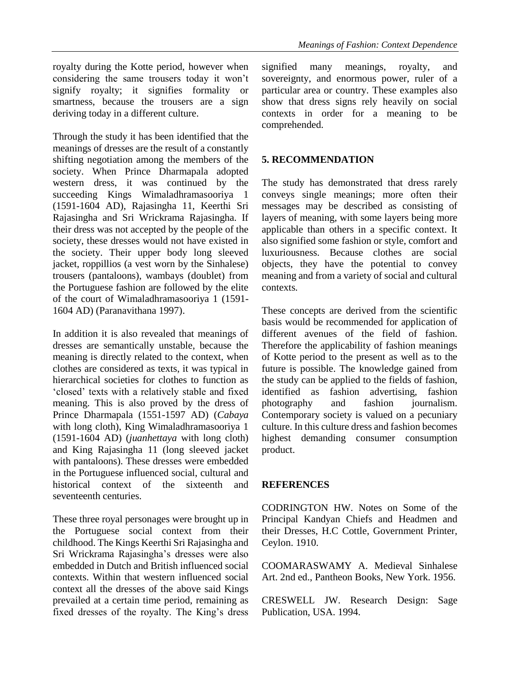royalty during the Kotte period, however when considering the same trousers today it won't signify royalty; it signifies formality or smartness, because the trousers are a sign deriving today in a different culture.

Through the study it has been identified that the meanings of dresses are the result of a constantly shifting negotiation among the members of the society. When Prince Dharmapala adopted western dress, it was continued by the succeeding Kings Wimaladhramasooriya 1 (1591-1604 AD), Rajasingha 11, Keerthi Sri Rajasingha and Sri Wrickrama Rajasingha. If their dress was not accepted by the people of the society, these dresses would not have existed in the society. Their upper body long sleeved jacket, roppillios (a vest worn by the Sinhalese) trousers (pantaloons), wambays (doublet) from the Portuguese fashion are followed by the elite of the court of Wimaladhramasooriya 1 (1591- 1604 AD) (Paranavithana 1997).

In addition it is also revealed that meanings of dresses are semantically unstable, because the meaning is directly related to the context, when clothes are considered as texts, it was typical in hierarchical societies for clothes to function as 'closed' texts with a relatively stable and fixed meaning. This is also proved by the dress of Prince Dharmapala (1551-1597 AD) (*Cabaya* with long cloth), King Wimaladhramasooriya 1 (1591-1604 AD) (*juanhettaya* with long cloth) and King Rajasingha 11 (long sleeved jacket with pantaloons). These dresses were embedded in the Portuguese influenced social, cultural and historical context of the sixteenth and seventeenth centuries.

These three royal personages were brought up in the Portuguese social context from their childhood. The Kings Keerthi Sri Rajasingha and Sri Wrickrama Rajasingha's dresses were also embedded in Dutch and British influenced social contexts. Within that western influenced social context all the dresses of the above said Kings prevailed at a certain time period, remaining as fixed dresses of the royalty. The King's dress

signified many meanings, royalty, and sovereignty, and enormous power, ruler of a particular area or country. These examples also show that dress signs rely heavily on social contexts in order for a meaning to be comprehended.

## **5. RECOMMENDATION**

The study has demonstrated that dress rarely conveys single meanings; more often their messages may be described as consisting of layers of meaning, with some layers being more applicable than others in a specific context. It also signified some fashion or style, comfort and luxuriousness. Because clothes are social objects, they have the potential to convey meaning and from a variety of social and cultural contexts.

These concepts are derived from the scientific basis would be recommended for application of different avenues of the field of fashion. Therefore the applicability of fashion meanings of Kotte period to the present as well as to the future is possible. The knowledge gained from the study can be applied to the fields of fashion, identified as fashion advertising, fashion photography and fashion journalism. Contemporary society is valued on a pecuniary culture. In this culture dress and fashion becomes highest demanding consumer consumption product.

## **REFERENCES**

CODRINGTON HW. Notes on Some of the Principal Kandyan Chiefs and Headmen and their Dresses, H.C Cottle, Government Printer, Ceylon. 1910.

COOMARASWAMY A. Medieval Sinhalese Art. 2nd ed., Pantheon Books, New York. 1956.

CRESWELL JW. Research Design: Sage Publication, USA. 1994.